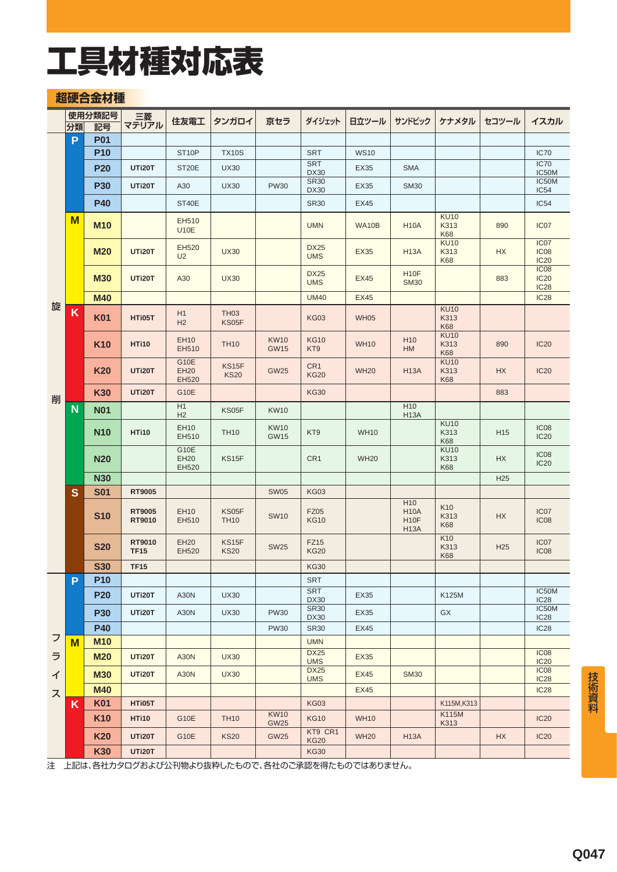### **超硬合金材種**

|   |    | 使用分類記号     | 三菱                    |                              |                      |                            |                                |             |                                                                    |                                   |                 |                                                     |
|---|----|------------|-----------------------|------------------------------|----------------------|----------------------------|--------------------------------|-------------|--------------------------------------------------------------------|-----------------------------------|-----------------|-----------------------------------------------------|
|   | 分類 | 記号         | マテリアル                 | 住友電工                         | タンガロイ                | 京セラ                        | ダイジェット                         | 日立ツール       | サンドビック                                                             | ケナメタル                             | セコツール           | イスカル                                                |
|   | P  | <b>P01</b> |                       |                              |                      |                            |                                |             |                                                                    |                                   |                 |                                                     |
|   |    | <b>P10</b> |                       | ST <sub>10</sub> P           | <b>TX10S</b>         |                            | <b>SRT</b>                     | <b>WS10</b> |                                                                    |                                   |                 | <b>IC70</b>                                         |
|   |    | <b>P20</b> | UTi20T                | ST <sub>20</sub> E           | <b>UX30</b>          |                            | <b>SRT</b><br><b>DX30</b>      | EX35        | <b>SMA</b>                                                         |                                   |                 | IC70<br>IC50M                                       |
|   |    | <b>P30</b> | <b>UTi20T</b>         | A30                          | <b>UX30</b>          | <b>PW30</b>                | <b>SR30</b><br><b>DX30</b>     | <b>EX35</b> | <b>SM30</b>                                                        |                                   |                 | IC50M<br>IC54                                       |
|   |    | <b>P40</b> |                       | ST40E                        |                      |                            | <b>SR30</b>                    | <b>EX45</b> |                                                                    |                                   |                 | IC54                                                |
|   | M  | <b>M10</b> |                       | EH510<br><b>U10E</b>         |                      |                            | <b>UMN</b>                     | WA10B       | <b>H10A</b>                                                        | <b>KU10</b><br>K313<br><b>K68</b> | 890             | IC <sub>07</sub>                                    |
|   |    | <b>M20</b> | <b>UTi20T</b>         | EH520<br>U <sub>2</sub>      | <b>UX30</b>          |                            | <b>DX25</b><br><b>UMS</b>      | <b>EX35</b> | <b>H13A</b>                                                        | <b>KU10</b><br>K313<br><b>K68</b> | <b>HX</b>       | IC <sub>07</sub><br>IC <sub>08</sub><br><b>IC20</b> |
|   |    | <b>M30</b> | UTi20T                | A30                          | <b>UX30</b>          |                            | <b>DX25</b><br><b>UMS</b>      | <b>EX45</b> | H <sub>10</sub> F<br><b>SM30</b>                                   |                                   | 883             | IC <sub>08</sub><br><b>IC20</b><br>IC <sub>28</sub> |
| 旋 |    | <b>M40</b> |                       |                              |                      |                            | <b>UM40</b>                    | <b>EX45</b> |                                                                    |                                   |                 | <b>IC28</b>                                         |
|   | K  | <b>K01</b> | HTi05T                | H1<br>H2                     | <b>TH03</b><br>KS05F |                            | <b>KG03</b>                    | <b>WH05</b> |                                                                    | <b>KU10</b><br>K313<br><b>K68</b> |                 |                                                     |
|   |    | <b>K10</b> | <b>HTi10</b>          | <b>EH10</b><br>EH510         | <b>TH10</b>          | <b>KW10</b><br><b>GW15</b> | <b>KG10</b><br>KT <sub>9</sub> | <b>WH10</b> | H <sub>10</sub><br>HM                                              | <b>KU10</b><br>K313<br><b>K68</b> | 890             | <b>IC20</b>                                         |
|   |    | <b>K20</b> | UTi20T                | G10E<br><b>EH20</b><br>EH520 | KS15F<br><b>KS20</b> | <b>GW25</b>                | CR <sub>1</sub><br><b>KG20</b> | <b>WH20</b> | <b>H13A</b>                                                        | <b>KU10</b><br>K313<br><b>K68</b> | <b>HX</b>       | <b>IC20</b>                                         |
| 削 |    | <b>K30</b> | UTi20T                | <b>G10E</b>                  |                      |                            | <b>KG30</b>                    |             |                                                                    |                                   | 883             |                                                     |
|   | N  | <b>N01</b> |                       | H1<br>H <sub>2</sub>         | KS05F                | <b>KW10</b>                |                                |             | H <sub>10</sub><br>H <sub>13</sub> A                               |                                   |                 |                                                     |
|   |    | <b>N10</b> | <b>HTi10</b>          | EH10<br>EH510                | <b>TH10</b>          | <b>KW10</b><br><b>GW15</b> | KT9                            | <b>WH10</b> |                                                                    | <b>KU10</b><br>K313<br><b>K68</b> | H <sub>15</sub> | IC <sub>08</sub><br><b>IC20</b>                     |
|   |    | <b>N20</b> |                       | G10E<br>EH20<br>EH520        | KS15F                |                            | CR1                            | <b>WH20</b> |                                                                    | <b>KU10</b><br>K313<br>K68        | HX              | IC <sub>08</sub><br><b>IC20</b>                     |
|   |    | <b>N30</b> |                       |                              |                      |                            |                                |             |                                                                    |                                   | H <sub>25</sub> |                                                     |
|   | S  | <b>S01</b> | RT9005                |                              |                      | <b>SW05</b>                | <b>KG03</b>                    |             |                                                                    |                                   |                 |                                                     |
|   |    | <b>S10</b> | RT9005<br>RT9010      | EH10<br>EH510                | KS05F<br><b>TH10</b> | <b>SW10</b>                | <b>FZ05</b><br><b>KG10</b>     |             | H <sub>10</sub><br><b>H10A</b><br>H <sub>10</sub> F<br><b>H13A</b> | K10<br>K313<br>K68                | HX              | IC <sub>07</sub><br>IC <sub>08</sub>                |
|   |    | <b>S20</b> | RT9010<br><b>TF15</b> | <b>EH20</b><br>EH520         | KS15F<br><b>KS20</b> | <b>SW25</b>                | FZ15<br><b>KG20</b>            |             |                                                                    | K <sub>10</sub><br>K313<br>K68    | H <sub>25</sub> | IC <sub>07</sub><br>IC <sub>08</sub>                |
|   |    | <b>S30</b> | <b>TF15</b>           |                              |                      |                            | <b>KG30</b>                    |             |                                                                    |                                   |                 |                                                     |
|   | P  | <b>P10</b> |                       |                              |                      |                            | <b>SRT</b>                     |             |                                                                    |                                   |                 |                                                     |
|   |    | <b>P20</b> | UTi20T                | A30N                         | <b>UX30</b>          |                            | <b>SRT</b><br><b>DX30</b>      | EX35        |                                                                    | K125M                             |                 | IC50M<br><b>IC28</b>                                |
|   |    | <b>P30</b> | UTi20T                | A30N                         | <b>UX30</b>          | <b>PW30</b>                | <b>SR30</b><br><b>DX30</b>     | <b>EX35</b> |                                                                    | GX                                |                 | IC50M<br><b>IC28</b>                                |
|   |    | <b>P40</b> |                       |                              |                      | <b>PW30</b>                | <b>SR30</b>                    | EX45        |                                                                    |                                   |                 | <b>IC28</b>                                         |
| フ | M  | <b>M10</b> |                       |                              |                      |                            | <b>UMN</b>                     |             |                                                                    |                                   |                 |                                                     |
| ラ |    | <b>M20</b> | <b>UTi20T</b>         | <b>A30N</b>                  | <b>UX30</b>          |                            | <b>DX25</b><br><b>UMS</b>      | <b>EX35</b> |                                                                    |                                   |                 | IC <sub>08</sub><br><b>IC20</b>                     |
| イ |    | <b>M30</b> | <b>UTi20T</b>         | <b>A30N</b>                  | <b>UX30</b>          |                            | <b>DX25</b><br><b>UMS</b>      | <b>EX45</b> | <b>SM30</b>                                                        |                                   |                 | IC <sub>08</sub><br><b>IC28</b>                     |
| ス |    | <b>M40</b> |                       |                              |                      |                            |                                | <b>EX45</b> |                                                                    |                                   |                 | <b>IC28</b>                                         |
|   | K  | <b>K01</b> | HTi05T                |                              |                      |                            | <b>KG03</b>                    |             |                                                                    | K115M, K313                       |                 |                                                     |
|   |    | <b>K10</b> | <b>HTi10</b>          | G10E                         | <b>TH10</b>          | <b>KW10</b><br><b>GW25</b> | <b>KG10</b>                    | <b>WH10</b> |                                                                    | K115M<br>K313                     |                 | <b>IC20</b>                                         |
|   |    | <b>K20</b> | <b>UTi20T</b>         | G10E                         | <b>KS20</b>          | <b>GW25</b>                | KT9 CR1<br><b>KG20</b>         | <b>WH20</b> | <b>H13A</b>                                                        |                                   | <b>HX</b>       | <b>IC20</b>                                         |
|   |    | <b>K30</b> | UTi20T                |                              |                      |                            | <b>KG30</b>                    |             |                                                                    |                                   |                 |                                                     |

注 上記は、各社カタログおよび公刊物より抜粋したもので、各社のご承認を得たものではありません。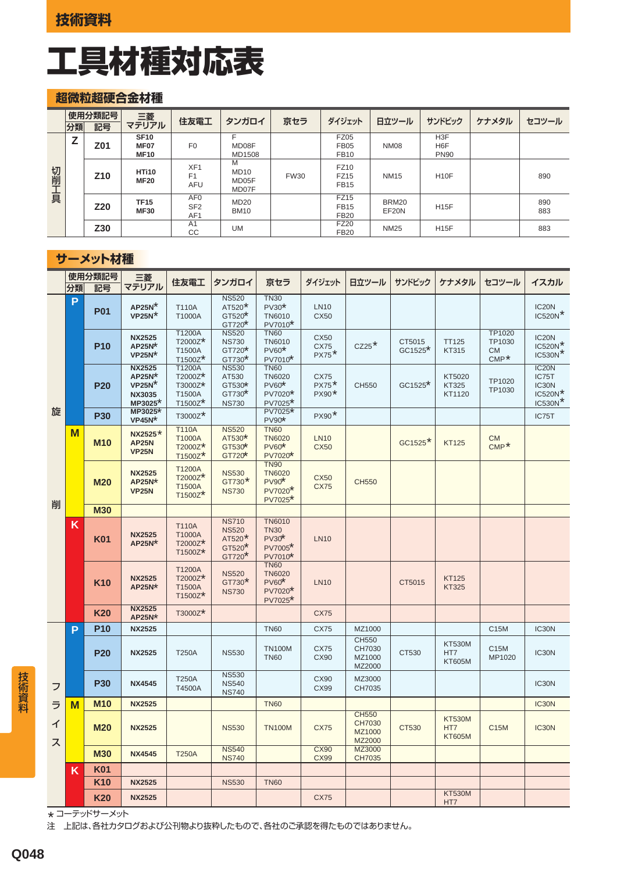### **超微粒超硬合金材種**

|      | 分類 | 使用分類記号<br>記号    | 三菱<br>マテリアル                                    | 住友電工                                                  | タンガロイ                              | 京セラ         | ダイジェット                                    | 日立ツール          | サンドビック                                              | ケナメタル | セコツール      |
|------|----|-----------------|------------------------------------------------|-------------------------------------------------------|------------------------------------|-------------|-------------------------------------------|----------------|-----------------------------------------------------|-------|------------|
| 切削工具 |    | Z01             | <b>SF10</b><br>MF <sub>07</sub><br><b>MF10</b> | F <sub>0</sub>                                        | MD08F<br>MD1508                    |             | <b>FZ05</b><br><b>FB05</b><br><b>FB10</b> | NM08           | H <sub>3</sub> F<br>H <sub>6</sub> F<br><b>PN90</b> |       |            |
|      |    | Z <sub>10</sub> | HTi10<br><b>MF20</b>                           | XF <sub>1</sub><br>F <sub>1</sub><br><b>AFU</b>       | M<br><b>MD10</b><br>MD05F<br>MD07F | <b>FW30</b> | FZ10<br>FZ15<br><b>FB15</b>               | <b>NM15</b>    | <b>H10F</b>                                         |       | 890        |
|      |    | Z <sub>20</sub> | <b>TF15</b><br><b>MF30</b>                     | AF <sub>0</sub><br>SF <sub>2</sub><br>AF <sub>1</sub> | <b>MD20</b><br><b>BM10</b>         |             | <b>FZ15</b><br><b>FB15</b><br><b>FB20</b> | BRM20<br>EF20N | <b>H15F</b>                                         |       | 890<br>883 |
|      |    | Z30             |                                                | A <sub>1</sub><br>CC                                  | <b>UM</b>                          |             | <b>FZ20</b><br><b>FB20</b>                | <b>NM25</b>    | <b>H15F</b>                                         |       | 883        |

#### **サーメット材種**

|        |    | 使用分類記号          | 三菱                                                                            |                                                   |                                                                        |                                                                           |                                                                             |                                            |                       |                                       |                                          |                                                                |
|--------|----|-----------------|-------------------------------------------------------------------------------|---------------------------------------------------|------------------------------------------------------------------------|---------------------------------------------------------------------------|-----------------------------------------------------------------------------|--------------------------------------------|-----------------------|---------------------------------------|------------------------------------------|----------------------------------------------------------------|
|        | 分類 | 記号              | マテリアル                                                                         | 住友電工                                              | タンガロイ                                                                  | 京セラ                                                                       | ダイジェット                                                                      | 日立ツール                                      | サンドビック                | ケナメタル                                 | セコツール                                    | イスカル                                                           |
|        | P  | <b>P01</b>      | $AP25N$ <sup>*</sup><br>$VP25N^*$                                             | T110A<br>T1000A                                   | <b>NS520</b><br>AT520*<br>$GT520*$<br>GT720*                           | <b>TN30</b><br>$PV30*$<br><b>TN6010</b><br>PV7010*                        | <b>LN10</b><br><b>CX50</b>                                                  |                                            |                       |                                       |                                          | IC <sub>20</sub> N<br>$IC520N$ <sup>*</sup>                    |
|        |    | <b>P10</b>      | <b>NX2525</b><br>AP25N*<br>$VP25N*$                                           | T1200A<br>T2000Z*<br>T1500A<br>T1500Z*            | <b>NS520</b><br><b>NS730</b><br>GT720*<br>GT730*                       | <b>TN60</b><br><b>TN6010</b><br>$PV60*$<br>PV7010*                        | CX50<br>CX75<br>$PX75*$                                                     | $CZ25$ <sup>*</sup>                        | CT5015<br>$GC1525*$   | <b>TT125</b><br>KT315                 | TP1020<br>TP1030<br><b>CM</b><br>$CMP^*$ | IC20N<br>$IC520N*$<br>$IC530N*$                                |
|        |    | <b>P20</b>      | <b>NX2525</b><br>AP25N*<br>$VP25N$ <sup>*</sup><br><b>NX3035</b><br>$MP3025*$ | T1200A<br>T2000Z*<br>T3000Z*<br>T1500A<br>T1500Z* | <b>NS530</b><br>AT530<br>GT530*<br>GT730 <sup>*</sup><br><b>NS730</b>  | <b>TN60</b><br><b>TN6020</b><br>$PV60*$<br>PV7020*<br>PV7025*             | $\begin{array}{c}\n\text{CX75} \\ \text{PX75}^{\ast}\n\end{array}$<br>PX90* | CH550                                      | $GC1525$ <sup>*</sup> | KT5020<br>KT325<br>KT1120             | TP1020<br>TP1030                         | IC <sub>20</sub> N<br>IC75T<br>IC30N<br>$IC520N*$<br>$IC530N*$ |
| 旋      |    | <b>P30</b>      | MP3025*<br>$VP45N^*$                                                          | T3000Z*                                           |                                                                        | PV7025*<br>PV90*                                                          | PX90*                                                                       |                                            |                       |                                       |                                          | IC75T                                                          |
|        | M  | <b>M10</b>      | NX2525 <sup>*</sup><br><b>AP25N</b><br><b>VP25N</b>                           | <b>T110A</b><br>T1000A<br>T2000Z*<br>$T1500Z$ *   | <b>NS520</b><br>AT530*<br>GT530*<br>GT720*                             | <b>TN60</b><br><b>TN6020</b><br>$PV60*$<br>PV7020*                        | <b>LN10</b><br><b>CX50</b>                                                  |                                            | GC1525 <sup>*</sup>   | <b>KT125</b>                          | <b>CM</b><br>$CMP^*$                     |                                                                |
| 削      |    | <b>M20</b>      | <b>NX2525</b><br>$AP25N*$<br><b>VP25N</b>                                     | T1200A<br>T2000Z*<br>T1500A<br>T1500Z*            | <b>NS530</b><br>$GT730*$<br><b>NS730</b>                               | <b>TN90</b><br><b>TN6020</b><br>$PV90*$<br>PV7020*<br>PV7025 <sup>*</sup> | <b>CX50</b><br><b>CX75</b>                                                  | <b>CH550</b>                               |                       |                                       |                                          |                                                                |
|        |    | <b>M30</b>      |                                                                               |                                                   |                                                                        |                                                                           |                                                                             |                                            |                       |                                       |                                          |                                                                |
|        | K  | <b>K01</b>      | <b>NX2525</b><br>$AP25N*$                                                     | <b>T110A</b><br>T1000A<br>T2000Z*<br>T1500Z*      | <b>NS710</b><br><b>NS520</b><br>AT520 <sup>*</sup><br>GT520*<br>GT720* | <b>TN6010</b><br><b>TN30</b><br>$PV30*$<br>PV7005*<br>PV7010*             | <b>LN10</b>                                                                 |                                            |                       |                                       |                                          |                                                                |
|        |    | <b>K10</b>      | <b>NX2525</b><br>$AP25N*$                                                     | T1200A<br>T2000Z*<br>T1500A<br>T1500Z*            | <b>NS520</b><br>$GT730*$<br><b>NS730</b>                               | <b>TN60</b><br><b>TN6020</b><br>$PV60*$<br>PV7020*<br>PV7025 <sup>*</sup> | <b>LN10</b>                                                                 |                                            | CT5015                | <b>KT125</b><br><b>KT325</b>          |                                          |                                                                |
|        |    | <b>K20</b>      | <b>NX2525</b><br>$AP25N*$                                                     | T3000Z*                                           |                                                                        |                                                                           | <b>CX75</b>                                                                 |                                            |                       |                                       |                                          |                                                                |
|        | P  | <b>P10</b>      | <b>NX2525</b>                                                                 |                                                   |                                                                        | <b>TN60</b>                                                               | <b>CX75</b>                                                                 | MZ1000                                     |                       |                                       | C15M                                     | IC30N                                                          |
|        |    | <b>P20</b>      | <b>NX2525</b>                                                                 | <b>T250A</b>                                      | <b>NS530</b>                                                           | <b>TN100M</b><br><b>TN60</b>                                              | <b>CX75</b><br>CX90                                                         | CH550<br>CH7030<br>MZ1000<br>MZ2000        | CT530                 | <b>KT530M</b><br>HT7<br><b>KT605M</b> | C15M<br>MP1020                           | IC30N                                                          |
| フ      |    | <b>P30</b>      | <b>NX4545</b>                                                                 | <b>T250A</b><br>T4500A                            | <b>NS530</b><br><b>NS540</b><br><b>NS740</b>                           |                                                                           | CX90<br>CX99                                                                | MZ3000<br>CH7035                           |                       |                                       |                                          | IC30N                                                          |
| ラ      | M  | <b>M10</b>      | <b>NX2525</b>                                                                 |                                                   |                                                                        | <b>TN60</b>                                                               |                                                                             |                                            |                       |                                       |                                          | IC30N                                                          |
| イ<br>ス |    | <b>M20</b>      | <b>NX2525</b>                                                                 |                                                   | <b>NS530</b>                                                           | <b>TN100M</b>                                                             | <b>CX75</b>                                                                 | <b>CH550</b><br>CH7030<br>MZ1000<br>MZ2000 | CT530                 | <b>KT530M</b><br>HT7<br><b>KT605M</b> | C15M                                     | IC30N                                                          |
|        |    | <b>M30</b>      | <b>NX4545</b>                                                                 | <b>T250A</b>                                      | <b>NS540</b><br><b>NS740</b>                                           |                                                                           | <b>CX90</b><br><b>CX99</b>                                                  | MZ3000<br>CH7035                           |                       |                                       |                                          |                                                                |
|        | Κ  | <b>K01</b>      |                                                                               |                                                   |                                                                        |                                                                           |                                                                             |                                            |                       |                                       |                                          |                                                                |
|        |    | K <sub>10</sub> | <b>NX2525</b>                                                                 |                                                   | <b>NS530</b>                                                           | <b>TN60</b>                                                               |                                                                             |                                            |                       |                                       |                                          |                                                                |
|        |    | <b>K20</b>      | <b>NX2525</b>                                                                 |                                                   |                                                                        |                                                                           | <b>CX75</b>                                                                 |                                            |                       | <b>KT530M</b><br>HT7                  |                                          |                                                                |

\* コーテッドサーメット

注 上記は、各社カタログおよび公刊物より抜粋したもので、各社のご承認を得たものではありません。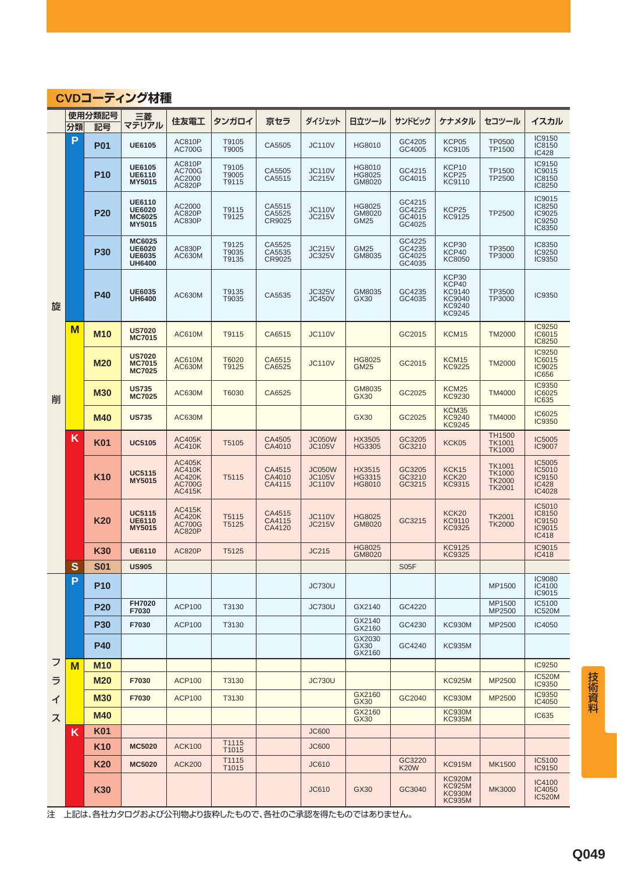### **CVDコーティング材種**

|   | 分類          | 使用分類記号<br>記号    | 三菱<br>マテリアル                                                      | 住友電工                                                                              | タンガロイ                       | 京セラ                        | ダイジェット                                          | 日立ツール                             | サンドビック                               | ケナメタル                                                         | セコツール                                                            | イスカル                                                        |
|---|-------------|-----------------|------------------------------------------------------------------|-----------------------------------------------------------------------------------|-----------------------------|----------------------------|-------------------------------------------------|-----------------------------------|--------------------------------------|---------------------------------------------------------------|------------------------------------------------------------------|-------------------------------------------------------------|
|   | P           | <b>P01</b>      | <b>UE6105</b>                                                    | <b>AC810P</b><br><b>AC700G</b>                                                    | T9105<br>T9005              | CA5505                     | <b>JC110V</b>                                   | HG8010                            | GC4205<br>GC4005                     | KCP05<br>KC9105                                               | <b>TP0500</b><br>TP1500                                          | IC9150<br>IC8150<br><b>IC428</b>                            |
|   |             | <b>P10</b>      | <b>UE6105</b><br><b>UE6110</b><br><b>MY5015</b>                  | <b>AC810P</b><br><b>AC700G</b><br>AC2000<br><b>AC820P</b>                         | T9105<br>T9005<br>T9115     | CA5505<br>CA5515           | <b>JC110V</b><br><b>JC215V</b>                  | HG8010<br>HG8025<br>GM8020        | GC4215<br>GC4015                     | KCP10<br>KCP25<br>KC9110                                      | TP1500<br>TP2500                                                 | IC9150<br>IC9015<br>IC8150<br>IC8250                        |
|   |             | <b>P20</b>      | <b>UE6110</b><br><b>UE6020</b><br><b>MC6025</b><br><b>MY5015</b> | AC2000<br><b>AC820P</b><br><b>AC830P</b>                                          | T9115<br>T9125              | CA5515<br>CA5525<br>CR9025 | <b>JC110V</b><br><b>JC215V</b>                  | HG8025<br>GM8020<br>GM25          | GC4215<br>GC4225<br>GC4015<br>GC4025 | KCP25<br>KC9125                                               | TP2500                                                           | IC9015<br>IC8250<br>IC9025<br>IC9250<br>IC8350              |
|   |             | <b>P30</b>      | <b>MC6025</b><br><b>UE6020</b><br><b>UE6035</b><br><b>UH6400</b> | <b>AC830P</b><br>AC630M                                                           | T9125<br>T9035<br>T9135     | CA5525<br>CA5535<br>CR9025 | <b>JC215V</b><br><b>JC325V</b>                  | <b>GM25</b><br>GM8035             | GC4225<br>GC4235<br>GC4025<br>GC4035 | KCP30<br>KCP40<br>KC8050                                      | TP3500<br>TP3000                                                 | IC8350<br>IC9250<br>IC9350                                  |
| 旋 |             | <b>P40</b>      | <b>UE6035</b><br><b>UH6400</b>                                   | AC630M                                                                            | T9135<br>T9035              | CA5535                     | <b>JC325V</b><br>JC450V                         | GM8035<br>GX30                    | GC4235<br>GC4035                     | KCP30<br>KCP40<br>KC9140<br>KC9040<br>KC9240<br><b>KC9245</b> | TP3500<br>TP3000                                                 | IC9350                                                      |
|   | $\mathbf M$ | <b>M10</b>      | <b>US7020</b><br><b>MC7015</b>                                   | <b>AC610M</b>                                                                     | T9115                       | CA6515                     | <b>JC110V</b>                                   |                                   | GC2015                               | <b>KCM15</b>                                                  | <b>TM2000</b>                                                    | <b>IC9250</b><br>IC6015<br>IC8250                           |
|   |             | <b>M20</b>      | <b>US7020</b><br><b>MC7015</b><br><b>MC7025</b>                  | <b>AC610M</b><br><b>AC630M</b>                                                    | T6020<br>T9125              | CA6515<br>CA6525           | <b>JC110V</b>                                   | HG8025<br><b>GM25</b>             | GC2015                               | KCM15<br><b>KC9225</b>                                        | <b>TM2000</b>                                                    | IC9250<br>IC6015<br><b>IC9025</b><br><b>IC656</b>           |
| 削 |             | <b>M30</b>      | <b>US735</b><br><b>MC7025</b>                                    | <b>AC630M</b>                                                                     | T6030                       | CA6525                     |                                                 | GM8035<br>GX30                    | GC2025                               | <b>KCM25</b><br><b>KC9230</b>                                 | <b>TM4000</b>                                                    | <b>IC9350</b><br>IC6025<br><b>IC635</b>                     |
|   |             | <b>M40</b>      | <b>US735</b>                                                     | AC630M                                                                            |                             |                            |                                                 | GX30                              | GC2025                               | KCM35<br><b>KC9240</b><br><b>KC9245</b>                       | <b>TM4000</b>                                                    | IC6025<br><b>IC9350</b>                                     |
|   | K           | K01             | <b>UC5105</b>                                                    | <b>AC405K</b><br><b>AC410K</b>                                                    | T5105                       | CA4505<br>CA4010           | <b>JC050W</b><br><b>JC105V</b>                  | HX3505<br>HG3305                  | GC3205<br>GC3210                     | KCK05                                                         | <b>TH1500</b><br><b>TK1001</b><br><b>TK1000</b>                  | IC5005<br><b>IC9007</b>                                     |
|   |             | K <sub>10</sub> | <b>UC5115</b><br><b>MY5015</b>                                   | <b>AC405K</b><br><b>AC410K</b><br><b>AC420K</b><br><b>AC700G</b><br><b>AC415K</b> | T5115                       | CA4515<br>CA4010<br>CA4115 | <b>JC050W</b><br><b>JC105V</b><br><b>JC110V</b> | HX3515<br>HG3315<br><b>HG8010</b> | GC3205<br>GC3210<br>GC3215           | <b>KCK15</b><br>KCK20<br>KC9315                               | <b>TK1001</b><br><b>TK1000</b><br><b>TK2000</b><br><b>TK2001</b> | IC5005<br>IC5010<br><b>IC9150</b><br><b>IC428</b><br>IC4028 |
|   |             | K20             | <b>UC5115</b><br><b>UE6110</b><br><b>MY5015</b>                  | <b>AC415K</b><br><b>AC420K</b><br><b>AC700G</b><br><b>AC820P</b>                  | T <sub>5</sub> 115<br>T5125 | CA4515<br>CA4115<br>CA4120 | <b>JC110V</b><br><b>JC215V</b>                  | <b>HG8025</b><br>GM8020           | GC3215                               | <b>KCK20</b><br><b>KC9110</b><br><b>KC9325</b>                | <b>TK2001</b><br><b>TK2000</b>                                   | IC5010<br>IC8150<br>IC9150<br>IC9015<br><b>IC418</b>        |
|   |             | K30             | <b>UE6110</b>                                                    | <b>AC820P</b>                                                                     | T5125                       |                            | <b>JC215</b>                                    | <b>HG8025</b><br>GM8020           |                                      | <b>KC9125</b><br><b>KC9325</b>                                |                                                                  | IC9015<br><b>IC418</b>                                      |
|   | S           | <b>S01</b>      | <b>US905</b>                                                     |                                                                                   |                             |                            |                                                 |                                   | S05F                                 |                                                               |                                                                  | <b>IC9080</b>                                               |
|   | P           | <b>P10</b>      |                                                                  |                                                                                   |                             |                            | <b>JC730U</b>                                   |                                   |                                      |                                                               | MP1500                                                           | IC4100<br>IC9015<br>IC5100                                  |
|   |             | <b>P20</b>      | <b>FH7020</b><br>F7030                                           | <b>ACP100</b>                                                                     | T3130                       |                            | <b>JC730U</b>                                   | GX2140<br>GX2140                  | GC4220                               |                                                               | MP1500<br>MP2500                                                 | <b>IC520M</b>                                               |
|   |             | <b>P30</b>      | F7030                                                            | <b>ACP100</b>                                                                     | T3130                       |                            |                                                 | GX2160<br>GX2030                  | GC4230                               | <b>KC930M</b>                                                 | MP2500                                                           | IC4050                                                      |
|   |             | <b>P40</b>      |                                                                  |                                                                                   |                             |                            |                                                 | GX30<br>GX2160                    | GC4240                               | <b>KC935M</b>                                                 |                                                                  |                                                             |
| フ | M           | <b>M10</b>      |                                                                  |                                                                                   |                             |                            |                                                 |                                   |                                      |                                                               |                                                                  | <b>IC9250</b>                                               |
| ラ |             | <b>M20</b>      | F7030                                                            | <b>ACP100</b>                                                                     | T3130                       |                            | <b>JC730U</b>                                   |                                   |                                      | <b>KC925M</b>                                                 | MP2500                                                           | <b>IC520M</b><br>IC9350<br><b>IC9350</b>                    |
| ィ |             | <b>M30</b>      | F7030                                                            | <b>ACP100</b>                                                                     | T3130                       |                            |                                                 | GX2160<br>GX30<br>GX2160          | GC2040                               | <b>KC930M</b><br><b>KC930M</b>                                | <b>MP2500</b>                                                    | IC4050                                                      |
| ス |             | <b>M40</b>      |                                                                  |                                                                                   |                             |                            |                                                 | GX30                              |                                      | <b>KC935M</b>                                                 |                                                                  | <b>IC635</b>                                                |
|   | Κ           | K01             |                                                                  |                                                                                   | T1115                       |                            | <b>JC600</b>                                    |                                   |                                      |                                                               |                                                                  |                                                             |
|   |             | K10             | <b>MC5020</b>                                                    | <b>ACK100</b>                                                                     | T1015<br>T1115              |                            | <b>JC600</b>                                    |                                   | GC3220                               |                                                               |                                                                  | IC5100                                                      |
|   |             | K20             | <b>MC5020</b>                                                    | <b>ACK200</b>                                                                     | T1015                       |                            | <b>JC610</b>                                    |                                   | <b>K20W</b>                          | <b>KC915M</b><br><b>KC920M</b>                                | <b>MK1500</b>                                                    | IC9150                                                      |
|   |             | <b>K30</b>      |                                                                  |                                                                                   |                             |                            | JC610                                           | GX30                              | GC3040                               | <b>KC925M</b><br><b>KC930M</b><br><b>KC935M</b>               | <b>MK3000</b>                                                    | IC4100<br>IC4050<br><b>IC520M</b>                           |

注 上記は、各社カタログおよび公刊物より抜粋したもので、各社のご承認を得たものではありません。

技術資料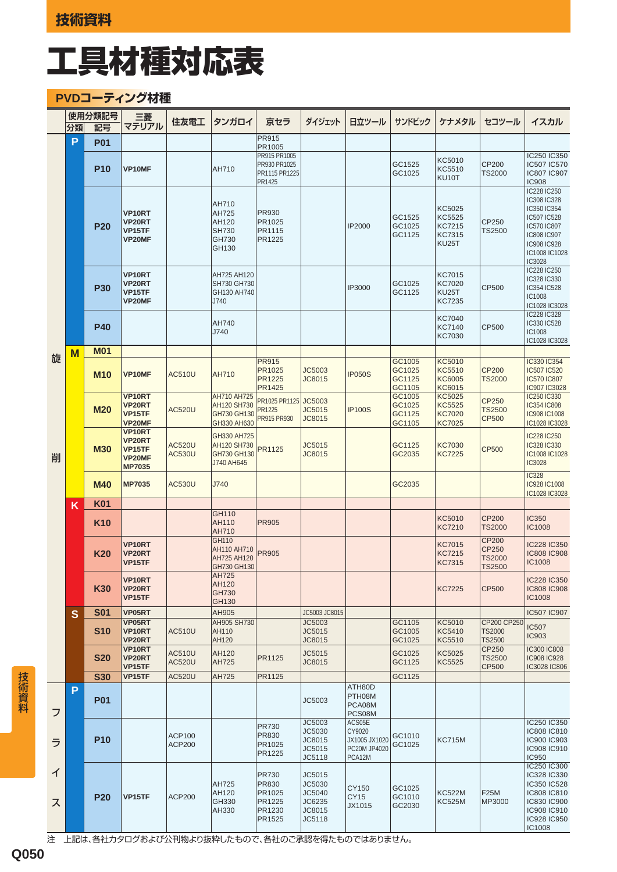### **PVDコーティング材種**

|        |    | 使用分類記号     | 三菱                                                    | 住友電工                           | タンガロイ                                                     | 京セラ                                                           | ダイジェット                                                   | 日立ツール                                                       | サンドビック                               | ケナメタル                                                    | セコツール                                         | イスカル                                                                                                                                    |
|--------|----|------------|-------------------------------------------------------|--------------------------------|-----------------------------------------------------------|---------------------------------------------------------------|----------------------------------------------------------|-------------------------------------------------------------|--------------------------------------|----------------------------------------------------------|-----------------------------------------------|-----------------------------------------------------------------------------------------------------------------------------------------|
|        | 分類 | 記号         | マテリアル                                                 |                                |                                                           |                                                               |                                                          |                                                             |                                      |                                                          |                                               |                                                                                                                                         |
|        | P  | <b>P01</b> |                                                       |                                |                                                           | PR915<br>PR1005                                               |                                                          |                                                             |                                      |                                                          |                                               |                                                                                                                                         |
|        |    | <b>P10</b> | VP10MF                                                |                                | AH710                                                     | PR915 PR1005<br>PR930 PR1025<br>PR1115 PR1225<br>PR1425       |                                                          |                                                             | GC1525<br>GC1025                     | KC5010<br>KC5510<br>KU10T                                | CP200<br><b>TS2000</b>                        | IC250 IC350<br>IC507 IC570<br>IC807 IC907<br><b>IC908</b>                                                                               |
|        |    | <b>P20</b> | VP10RT<br>VP20RT<br>VP15TF<br>VP20MF                  |                                | AH710<br>AH725<br>AH120<br><b>SH730</b><br>GH730<br>GH130 | PR930<br>PR1025<br>PR1115<br>PR1225                           |                                                          | IP2000                                                      | GC1525<br>GC1025<br>GC1125           | KC5025<br>KC5525<br>KC7215<br>KC7315<br><b>KU25T</b>     | CP250<br><b>TS2500</b>                        | IC228 IC250<br>IC308 IC328<br>IC350 IC354<br>IC507 IC528<br>IC570 IC807<br>IC808 IC907<br><b>IC908 IC928</b><br>IC1008 IC1028<br>IC3028 |
|        |    | <b>P30</b> | VP10RT<br>VP20RT<br>VP15TF<br>VP20MF                  |                                | AH725 AH120<br>SH730 GH730<br>GH130 AH740<br>J740         |                                                               |                                                          | IP3000                                                      | GC1025<br>GC1125                     | <b>KC7015</b><br><b>KC7020</b><br><b>KU25T</b><br>KC7235 | CP500                                         | IC228 IC250<br>IC328 IC330<br>IC354 IC528<br>IC1008<br>IC1028 IC3028                                                                    |
|        |    | <b>P40</b> |                                                       |                                | AH740<br>J740                                             |                                                               |                                                          |                                                             |                                      | <b>KC7040</b><br><b>KC7140</b><br><b>KC7030</b>          | CP500                                         | IC228 IC328<br>IC330 IC528<br>IC1008<br>IC1028 IC3028                                                                                   |
| 旋      | M  | <b>M01</b> |                                                       |                                |                                                           | <b>PR915</b>                                                  |                                                          |                                                             | GC1005                               | KC5010                                                   |                                               | IC330 IC354                                                                                                                             |
|        |    | <b>M10</b> | VP10MF                                                | <b>AC510U</b>                  | AH710                                                     | PR1025<br>PR1225<br><b>PR1425</b>                             | JC5003<br>JC8015                                         | <b>IP050S</b>                                               | GC1025<br>GC1125<br>GC1105           | KC5510<br>KC6005<br>KC6015                               | <b>CP200</b><br><b>TS2000</b>                 | <b>IC507 IC520</b><br><b>IC570 IC807</b><br>IC907 IC3028                                                                                |
|        |    | <b>M20</b> | VP10RT<br>VP20RT<br>VP15TF<br>VP20MF                  | <b>AC520U</b>                  | AH710 AH725<br>AH120 SH730<br>GH730 GH130<br>GH330 AH630  | PR1025 PR1125<br>PR1225<br>PR915 PR930                        | JC5003<br>JC5015<br>JC8015                               | <b>IP100S</b>                                               | GC1005<br>GC1025<br>GC1125<br>GC1105 | KC5025<br>KC5525<br><b>KC7020</b><br><b>KC7025</b>       | CP250<br><b>TS2500</b><br><b>CP500</b>        | IC250 IC330<br><b>IC354 IC808</b><br>IC908 IC1008<br>IC1028 IC3028                                                                      |
| 削      |    | <b>M30</b> | VP10RT<br>VP20RT<br>VP15TF<br>VP20MF<br><b>MP7035</b> | <b>AC520U</b><br><b>AC530U</b> | GH330 AH725<br>AH120 SH730<br>GH730 GH130<br>J740 AH645   | PR1125                                                        | JC5015<br>JC8015                                         |                                                             | GC1125<br>GC2035                     | <b>KC7030</b><br>KC7225                                  | <b>CP500</b>                                  | IC228 IC250<br>IC328 IC330<br>IC1008 IC1028<br>IC3028                                                                                   |
|        |    | <b>M40</b> | <b>MP7035</b>                                         | <b>AC530U</b>                  | J740                                                      |                                                               |                                                          |                                                             | GC2035                               |                                                          |                                               | <b>IC328</b><br>IC928 IC1008<br>IC1028 IC3028                                                                                           |
|        | K  | <b>K01</b> |                                                       |                                | GH110                                                     |                                                               |                                                          |                                                             |                                      |                                                          |                                               |                                                                                                                                         |
|        |    | <b>K10</b> |                                                       |                                | AH110<br>AH710<br>GH110                                   | <b>PR905</b>                                                  |                                                          |                                                             |                                      | KC5010<br><b>KC7210</b>                                  | <b>CP200</b><br><b>TS2000</b><br>CP200        | <b>IC350</b><br>IC1008                                                                                                                  |
|        |    | K20        | VP10RT<br>VP20RT<br>VP15TF                            |                                | AH110 AH710<br>AH725 AH120<br>GH730 GH130                 | <b>PR905</b>                                                  |                                                          |                                                             |                                      | KC7015<br><b>KC7215</b><br><b>KC7315</b>                 | CP250<br><b>TS2000</b><br><b>TS2500</b>       | <b>IC228 IC350</b><br><b>IC808 IC908</b><br>IC1008                                                                                      |
|        |    | K30        | VP10RT<br>VP20RT<br>VP15TF                            |                                | AH/25<br>AH120<br>GH730<br>GH130                          |                                                               |                                                          |                                                             |                                      | KC7225                                                   | <b>CP500</b>                                  | IC228 IC350<br><b>IC808 IC908</b><br>IC1008                                                                                             |
|        | S  | <b>S01</b> | VP05RT                                                |                                | AH905                                                     |                                                               | JC5003 JC8015                                            |                                                             |                                      |                                                          |                                               | IC507 IC907                                                                                                                             |
|        |    | <b>S10</b> | VP05RT<br>VP10RT<br>VP20RT                            | <b>AC510U</b>                  | AH905 SH730<br>AH110<br>AH120                             |                                                               | JC5003<br>JC5015<br>JC8015                               |                                                             | GC1105<br>GC1005<br>GC1025           | KC5010<br>KC5410<br>KC5510                               | CP200 CP250<br><b>TS2000</b><br><b>TS2500</b> | <b>IC507</b><br><b>IC903</b>                                                                                                            |
|        |    | <b>S20</b> | VP10RT<br>VP20RT<br>VP15TF                            | <b>AC510U</b><br><b>AC520U</b> | AH120<br>AH725                                            | PR1125                                                        | JC5015<br>JC8015                                         |                                                             | GC1025<br>GC1125                     | KC5025<br>KC5525                                         | CP250<br><b>TS2500</b><br><b>CP500</b>        | IC300 IC808<br>IC908 IC928<br>IC3028 IC806                                                                                              |
|        |    | <b>S30</b> | VP15TF                                                | <b>AC520U</b>                  | AH725                                                     | PR1125                                                        |                                                          |                                                             | GC1125                               |                                                          |                                               |                                                                                                                                         |
| フ      | P  | <b>P01</b> |                                                       |                                |                                                           |                                                               | JC5003                                                   | ATH80D<br>PTH08M<br>PCA08M<br>PCS08M                        |                                      |                                                          |                                               |                                                                                                                                         |
| ラ      |    | <b>P10</b> |                                                       | <b>ACP100</b><br><b>ACP200</b> |                                                           | PR730<br>PR830<br>PR1025<br>PR1225                            | JC5003<br>JC5030<br>JC8015<br>JC5015<br>JC5118           | ACS05E<br>CY9020<br>JX1005 JX1020<br>PC20M JP4020<br>PCA12M | GC1010<br>GC1025                     | <b>KC715M</b>                                            |                                               | IC250 IC350<br>IC808 IC810<br>IC900 IC903<br>IC908 IC910<br><b>IC950</b>                                                                |
| イ<br>ス |    | <b>P20</b> | VP15TF                                                | <b>ACP200</b>                  | AH725<br>AH120<br>GH330<br>AH330                          | <b>PR730</b><br>PR830<br>PR1025<br>PR1225<br>PR1230<br>PR1525 | JC5015<br>JC5030<br>JC5040<br>JC6235<br>JC8015<br>JC5118 | CY150<br><b>CY15</b><br>JX1015                              | GC1025<br>GC1010<br>GC2030           | <b>KC522M</b><br><b>KC525M</b>                           | F25M<br>MP3000                                | IC250 IC300<br>IC328 IC330<br>IC350 IC528<br>IC808 IC810<br>IC830 IC900<br>IC908 IC910<br>IC928 IC950<br>IC1008                         |

注 上記は、各社カタログおよび公刊物より抜粋したもので、各社のご承認を得たものではありません。

**Q050**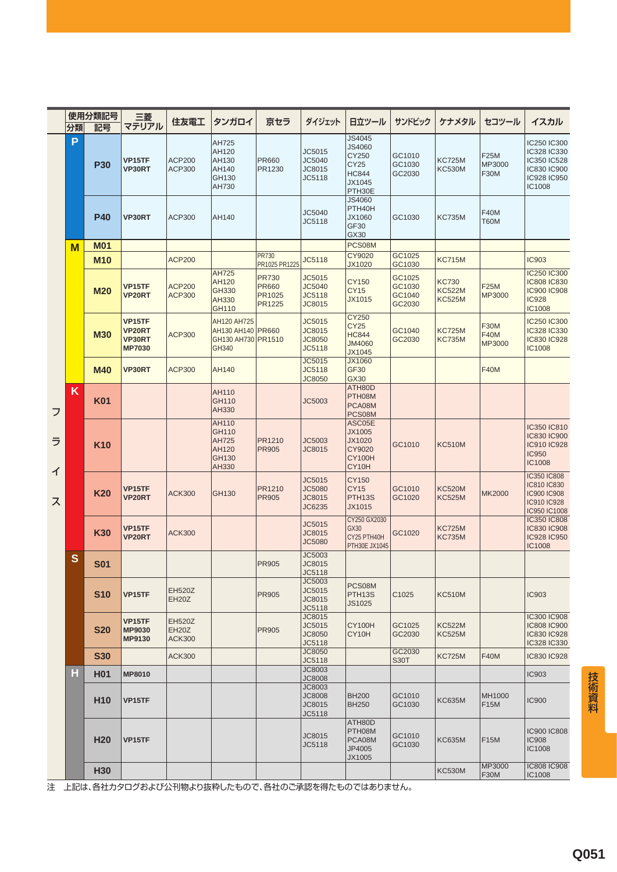|             |         | 使用分類記号          | 三菱                                                 | 住友電工                                           | タンガロイ                                                           | 京セラ                                              | ダイジェット                                      | 日立ツール                                                           | サンドビック                               | ケナメタル                                          | セコツール                                       | イスカル                                                                                     |
|-------------|---------|-----------------|----------------------------------------------------|------------------------------------------------|-----------------------------------------------------------------|--------------------------------------------------|---------------------------------------------|-----------------------------------------------------------------|--------------------------------------|------------------------------------------------|---------------------------------------------|------------------------------------------------------------------------------------------|
|             | 分類<br>P | 記号              | マテリアル                                              |                                                |                                                                 |                                                  |                                             | JS4045                                                          |                                      |                                                |                                             |                                                                                          |
|             |         | <b>P30</b>      | VP15TF<br>VP30RT                                   | <b>ACP200</b><br>ACP300                        | AH725<br>AH120<br>AH130<br>AH140<br>GH130<br>AH730              | <b>PR660</b><br>PR1230                           | JC5015<br>JC5040<br>JC8015<br>JC5118        | JS4060<br>CY250<br>CY25<br><b>HC844</b><br>JX1045<br>PTH30E     | GC1010<br>GC1030<br>GC2030           | <b>KC725M</b><br><b>KC530M</b>                 | <b>F25M</b><br>MP3000<br><b>F30M</b>        | IC250 IC300<br>IC328 IC330<br>IC350 IC528<br>IC830 IC900<br>IC928 IC950<br>IC1008        |
|             |         | <b>P40</b>      | VP30RT                                             | ACP300                                         | AH140                                                           |                                                  | JC5040<br>JC5118                            | JS4060<br>PTH40H<br>JX1060<br>GF30<br>GX30                      | GC1030                               | <b>KC735M</b>                                  | <b>F40M</b><br><b>T60M</b>                  |                                                                                          |
|             | M       | <b>M01</b>      |                                                    |                                                |                                                                 |                                                  |                                             | PCS08M                                                          |                                      |                                                |                                             |                                                                                          |
|             |         | <b>M10</b>      |                                                    | <b>ACP200</b>                                  |                                                                 | <b>PR730</b><br>PR1025 PR1225                    | JC5118                                      | CY9020<br>JX1020                                                | GC1025<br>GC1030                     | <b>KC715M</b>                                  |                                             | <b>IC903</b>                                                                             |
|             |         | <b>M20</b>      | <b>VP15TF</b><br>VP20RT                            | <b>ACP200</b><br><b>ACP300</b>                 | <b>AH725</b><br>AH120<br>GH330<br>AH330<br>GH110                | <b>PR730</b><br><b>PR660</b><br>PR1025<br>PR1225 | JC5015<br>JC5040<br>JC5118<br>JC8015        | CY150<br><b>CY15</b><br>JX1015                                  | GC1025<br>GC1030<br>GC1040<br>GC2030 | <b>KC730</b><br><b>KC522M</b><br><b>KC525M</b> | <b>F25M</b><br><b>MP3000</b>                | <b>IC250 IC300</b><br><b>IC808 IC830</b><br><b>IC900 IC908</b><br><b>IC928</b><br>IC1008 |
|             |         | <b>M30</b>      | <b>VP15TF</b><br>VP20RT<br>VP30RT<br><b>MP7030</b> | <b>ACP300</b>                                  | AH120 AH725<br>AH130 AH140 PR660<br>GH130 AH730 PR1510<br>GH340 |                                                  | JC5015<br>JC8015<br><b>JC8050</b><br>JC5118 | CY250<br><b>CY25</b><br><b>HC844</b><br><b>JM4060</b><br>JX1045 | GC1040<br>GC2030                     | <b>KC725M</b><br><b>KC735M</b>                 | <b>F30M</b><br><b>F40M</b><br><b>MP3000</b> | <b>IC250 IC300</b><br>IC328 IC330<br><b>IC830 IC928</b><br>IC1008                        |
|             |         | <b>M40</b>      | VP30RT                                             | <b>ACP300</b>                                  | AH140                                                           |                                                  | JC5015<br>JC5118<br><b>JC8050</b>           | JX1060<br><b>GF30</b><br>GX30                                   |                                      |                                                | <b>F40M</b>                                 |                                                                                          |
| フ           | K       | <b>K01</b>      |                                                    |                                                | AH110<br>GH110<br>AH330                                         |                                                  | JC5003                                      | ATH80D<br>PTH08M<br>PCA08M<br>PCS08M                            |                                      |                                                |                                             |                                                                                          |
| ラ<br>ィ<br>ス |         | <b>K10</b>      |                                                    |                                                | AH110<br>GH110<br><b>AH725</b><br>AH120<br>GH130<br>AH330       | PR1210<br><b>PR905</b>                           | JC5003<br>JC8015                            | ASC05E<br>JX1005<br>JX1020<br>CY9020<br><b>CY100H</b><br>CY10H  | GC1010                               | <b>KC510M</b>                                  |                                             | IC350 IC810<br><b>IC830 IC900</b><br><b>IC910 IC928</b><br><b>IC950</b><br>IC1008        |
|             |         | <b>K20</b>      | VP15TF<br>VP20RT                                   | <b>ACK300</b>                                  | GH130                                                           | PR1210<br><b>PR905</b>                           | JC5015<br><b>JC5080</b><br>JC8015<br>JC6235 | CY150<br><b>CY15</b><br>PTH <sub>13</sub> S<br>JX1015           | GC1010<br>GC1020                     | <b>KC520M</b><br><b>KC525M</b>                 | <b>MK2000</b>                               | IC350 IC808<br>IC810 IC830<br><b>IC900 IC908</b><br><b>IC910 IC928</b><br>IC950 IC1008   |
|             |         | <b>K30</b>      | VP15TF<br>VP20RT                                   | <b>ACK300</b>                                  |                                                                 |                                                  | JC5015<br>JC8015<br><b>JC5080</b>           | CY250 GX2030<br>GX30<br>CY25 PTH40H<br>PTH30E JX1045            | GC1020                               | <b>KC725M</b><br><b>KC735M</b>                 |                                             | <b>IC350 IC808</b><br><b>IC830 IC908</b><br><b>IC928 IC950</b><br>IC1008                 |
|             | S       | <b>S01</b>      |                                                    |                                                |                                                                 | <b>PR905</b>                                     | JC5003<br>JC8015<br>JC5118                  |                                                                 |                                      |                                                |                                             |                                                                                          |
|             |         | <b>S10</b>      | VP15TF                                             | <b>EH520Z</b><br><b>EH20Z</b>                  |                                                                 | <b>PR905</b>                                     | JC5003<br>JC5015<br>JC8015<br>JC5118        | PCS08M<br>PTH <sub>13</sub> S<br>JS1025                         | C1025                                | <b>KC510M</b>                                  |                                             | <b>IC903</b>                                                                             |
|             |         | <b>S20</b>      | <b>VP15TF</b><br><b>MP9030</b><br>MP9130           | <b>EH520Z</b><br><b>EH20Z</b><br><b>ACK300</b> |                                                                 | PR905                                            | JC8015<br>JC5015<br>JC8050<br>JC5118        | <b>CY100H</b><br>CY10H                                          | GC1025<br>GC2030                     | <b>KC522M</b><br><b>KC525M</b>                 |                                             | <b>IC300 IC908</b><br>IC808 IC900<br>IC830 IC928<br>IC328 IC330                          |
|             |         | <b>S30</b>      |                                                    | <b>ACK300</b>                                  |                                                                 |                                                  | <b>JC8050</b><br>JC5118                     |                                                                 | GC2030<br>S <sub>30</sub> T          | <b>KC725M</b>                                  | <b>F40M</b>                                 | IC830 IC928                                                                              |
|             | Н       | H01             | <b>MP8010</b>                                      |                                                |                                                                 |                                                  | JC8003<br><b>JC8008</b>                     |                                                                 |                                      |                                                |                                             | <b>IC903</b>                                                                             |
|             |         | H <sub>10</sub> | VP15TF                                             |                                                |                                                                 |                                                  | JC8003<br><b>JC8008</b><br>JC8015<br>JC5118 | <b>BH200</b><br><b>BH250</b>                                    | GC1010<br>GC1030                     | <b>KC635M</b>                                  | MH1000<br><b>F15M</b>                       | <b>IC900</b>                                                                             |
|             |         | <b>H20</b>      | VP15TF                                             |                                                |                                                                 |                                                  | JC8015<br>JC5118                            | ATH80D<br>PTH08M<br>PCA08M<br>JP4005<br>JX1005                  | GC1010<br>GC1030                     | <b>KC635M</b>                                  | <b>F15M</b>                                 | <b>IC900 IC808</b><br><b>IC908</b><br>IC1008                                             |
|             |         | <b>H30</b>      |                                                    |                                                |                                                                 |                                                  |                                             |                                                                 |                                      | <b>KC530M</b>                                  | MP3000<br><b>F30M</b>                       | <b>IC808 IC908</b><br>IC1008                                                             |

注 上記は、各社カタログおよび公刊物より抜粋したもので、各社のご承認を得たものではありません。

技術資料